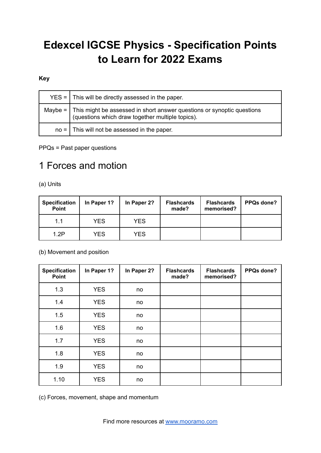# **Edexcel IGCSE Physics - Specification Points to Learn for 2022 Exams**

#### **Key**

| $YES =   This will be directly assessed in the paper.$                                                                                  |
|-----------------------------------------------------------------------------------------------------------------------------------------|
| Maybe = $\vert$ This might be assessed in short answer questions or synoptic questions (questions which draw together multiple topics). |
| $no =$ This will not be assessed in the paper.                                                                                          |

PPQs = Past paper questions

### 1 Forces and motion

(a) Units

| <b>Specification</b><br>Point | In Paper 1? | In Paper 2? | <b>Flashcards</b><br>made? | <b>Flashcards</b><br>memorised? | PPQs done? |
|-------------------------------|-------------|-------------|----------------------------|---------------------------------|------------|
| 1.1                           | <b>YES</b>  | <b>YES</b>  |                            |                                 |            |
| 1.2P                          | <b>YES</b>  | <b>YES</b>  |                            |                                 |            |

#### (b) Movement and position

| <b>Specification</b><br>Point | In Paper 1? | In Paper 2? | <b>Flashcards</b><br>made? | <b>Flashcards</b><br>memorised? | PPQs done? |
|-------------------------------|-------------|-------------|----------------------------|---------------------------------|------------|
| 1.3                           | <b>YES</b>  | no          |                            |                                 |            |
| 1.4                           | <b>YES</b>  | no          |                            |                                 |            |
| 1.5                           | <b>YES</b>  | no          |                            |                                 |            |
| 1.6                           | <b>YES</b>  | no          |                            |                                 |            |
| 1.7                           | <b>YES</b>  | no          |                            |                                 |            |
| 1.8                           | <b>YES</b>  | no          |                            |                                 |            |
| 1.9                           | <b>YES</b>  | no          |                            |                                 |            |
| 1.10                          | <b>YES</b>  | no          |                            |                                 |            |

(c) Forces, movement, shape and momentum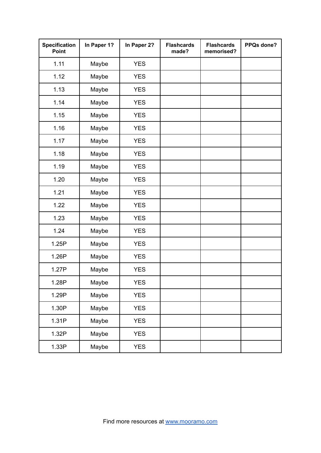| <b>Specification</b><br>Point | In Paper 1? | In Paper 2? | <b>Flashcards</b><br>made? | <b>Flashcards</b><br>memorised? | PPQs done? |
|-------------------------------|-------------|-------------|----------------------------|---------------------------------|------------|
| 1.11                          | Maybe       | <b>YES</b>  |                            |                                 |            |
| 1.12                          | Maybe       | <b>YES</b>  |                            |                                 |            |
| 1.13                          | Maybe       | <b>YES</b>  |                            |                                 |            |
| 1.14                          | Maybe       | <b>YES</b>  |                            |                                 |            |
| 1.15                          | Maybe       | <b>YES</b>  |                            |                                 |            |
| 1.16                          | Maybe       | <b>YES</b>  |                            |                                 |            |
| 1.17                          | Maybe       | <b>YES</b>  |                            |                                 |            |
| 1.18                          | Maybe       | <b>YES</b>  |                            |                                 |            |
| 1.19                          | Maybe       | <b>YES</b>  |                            |                                 |            |
| 1.20                          | Maybe       | <b>YES</b>  |                            |                                 |            |
| 1.21                          | Maybe       | <b>YES</b>  |                            |                                 |            |
| 1.22                          | Maybe       | <b>YES</b>  |                            |                                 |            |
| 1.23                          | Maybe       | <b>YES</b>  |                            |                                 |            |
| 1.24                          | Maybe       | <b>YES</b>  |                            |                                 |            |
| 1.25P                         | Maybe       | <b>YES</b>  |                            |                                 |            |
| 1.26P                         | Maybe       | <b>YES</b>  |                            |                                 |            |
| 1.27P                         | Maybe       | <b>YES</b>  |                            |                                 |            |
| 1.28P                         | Maybe       | <b>YES</b>  |                            |                                 |            |
| 1.29P                         | Maybe       | <b>YES</b>  |                            |                                 |            |
| 1.30P                         | Maybe       | <b>YES</b>  |                            |                                 |            |
| 1.31P                         | Maybe       | <b>YES</b>  |                            |                                 |            |
| 1.32P                         | Maybe       | <b>YES</b>  |                            |                                 |            |
| 1.33P                         | Maybe       | <b>YES</b>  |                            |                                 |            |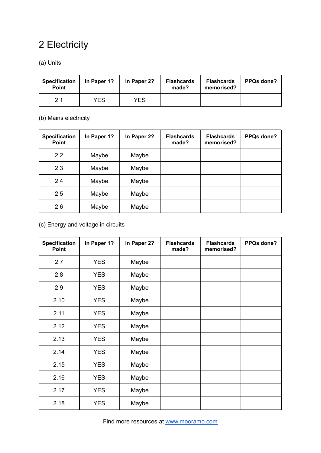## 2 Electricity

### (a) Units

| <b>Specification</b><br><b>Point</b> | In Paper 1? | In Paper 2? | <b>Flashcards</b><br>made? | <b>Flashcards</b><br>memorised? | <b>PPQs done?</b> |
|--------------------------------------|-------------|-------------|----------------------------|---------------------------------|-------------------|
| 2.1                                  | <b>YES</b>  | <b>YES</b>  |                            |                                 |                   |

#### (b) Mains electricity

| <b>Specification</b><br><b>Point</b> | In Paper 1? | In Paper 2? | <b>Flashcards</b><br>made? | <b>Flashcards</b><br>memorised? | PPQs done? |
|--------------------------------------|-------------|-------------|----------------------------|---------------------------------|------------|
| 2.2                                  | Maybe       | Maybe       |                            |                                 |            |
| 2.3                                  | Maybe       | Maybe       |                            |                                 |            |
| 2.4                                  | Maybe       | Maybe       |                            |                                 |            |
| 2.5                                  | Maybe       | Maybe       |                            |                                 |            |
| 2.6                                  | Maybe       | Maybe       |                            |                                 |            |

### (c) Energy and voltage in circuits

| <b>Specification</b><br>Point | In Paper 1? | In Paper 2? | <b>Flashcards</b><br>made? | <b>Flashcards</b><br>memorised? | PPQs done? |
|-------------------------------|-------------|-------------|----------------------------|---------------------------------|------------|
| 2.7                           | <b>YES</b>  | Maybe       |                            |                                 |            |
| 2.8                           | <b>YES</b>  | Maybe       |                            |                                 |            |
| 2.9                           | <b>YES</b>  | Maybe       |                            |                                 |            |
| 2.10                          | <b>YES</b>  | Maybe       |                            |                                 |            |
| 2.11                          | <b>YES</b>  | Maybe       |                            |                                 |            |
| 2.12                          | <b>YES</b>  | Maybe       |                            |                                 |            |
| 2.13                          | <b>YES</b>  | Maybe       |                            |                                 |            |
| 2.14                          | <b>YES</b>  | Maybe       |                            |                                 |            |
| 2.15                          | <b>YES</b>  | Maybe       |                            |                                 |            |
| 2.16                          | <b>YES</b>  | Maybe       |                            |                                 |            |
| 2.17                          | <b>YES</b>  | Maybe       |                            |                                 |            |
| 2.18                          | <b>YES</b>  | Maybe       |                            |                                 |            |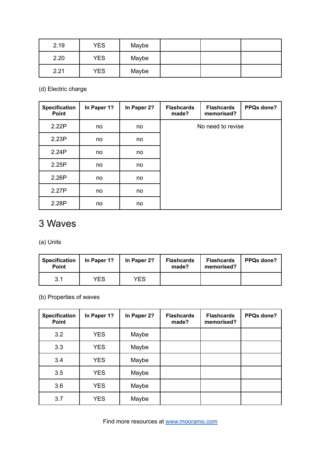| 2.19 | <b>YES</b> | Maybe |  |  |
|------|------------|-------|--|--|
| 2.20 | <b>YES</b> | Maybe |  |  |
| 2.21 | <b>YES</b> | Maybe |  |  |

(d) Electric charge

| <b>Specification</b><br>Point | In Paper 1? | In Paper 2? | <b>Flashcards</b><br>made? | <b>Flashcards</b><br>memorised? | PPQs done? |
|-------------------------------|-------------|-------------|----------------------------|---------------------------------|------------|
| 2.22P                         | no          | no.         | No need to revise          |                                 |            |
| 2.23P                         | no          | no          |                            |                                 |            |
| 2.24P                         | no          | no          |                            |                                 |            |
| 2.25P                         | no          | no          |                            |                                 |            |
| 2.26P                         | no          | no          |                            |                                 |            |
| 2.27P                         | no          | no          |                            |                                 |            |
| 2.28P                         | no          | no          |                            |                                 |            |

### 3 Waves

(a) Units

| <b>Specification</b><br><b>Point</b> | In Paper 1? | In Paper 2? | <b>Flashcards</b><br>made? | <b>Flashcards</b><br>memorised? | <b>PPQs done?</b> |
|--------------------------------------|-------------|-------------|----------------------------|---------------------------------|-------------------|
| 3.1                                  | <b>YES</b>  | YES         |                            |                                 |                   |

(b) Properties of waves

| <b>Specification</b><br><b>Point</b> | In Paper 1? | In Paper 2? | <b>Flashcards</b><br>made? | <b>Flashcards</b><br>memorised? | PPQs done? |
|--------------------------------------|-------------|-------------|----------------------------|---------------------------------|------------|
| 3.2                                  | <b>YES</b>  | Maybe       |                            |                                 |            |
| 3.3                                  | <b>YES</b>  | Maybe       |                            |                                 |            |
| 3.4                                  | <b>YES</b>  | Maybe       |                            |                                 |            |
| 3.5                                  | <b>YES</b>  | Maybe       |                            |                                 |            |
| 3.6                                  | <b>YES</b>  | Maybe       |                            |                                 |            |
| 3.7                                  | <b>YES</b>  | Maybe       |                            |                                 |            |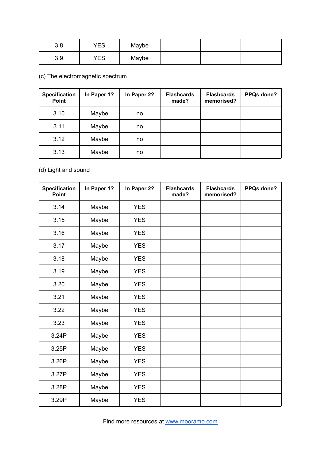| 3.8 | YES | Maybe |  |  |
|-----|-----|-------|--|--|
| 3.9 | YES | Maybe |  |  |

(c) The electromagnetic spectrum

| <b>Specification</b><br><b>Point</b> | In Paper 1? | In Paper 2? | <b>Flashcards</b><br>made? | <b>Flashcards</b><br>memorised? | PPQs done? |
|--------------------------------------|-------------|-------------|----------------------------|---------------------------------|------------|
| 3.10                                 | Maybe       | no          |                            |                                 |            |
| 3.11                                 | Maybe       | no          |                            |                                 |            |
| 3.12                                 | Maybe       | no          |                            |                                 |            |
| 3.13                                 | Maybe       | no          |                            |                                 |            |

(d) Light and sound

| <b>Specification</b><br>Point | In Paper 1? | In Paper 2? | <b>Flashcards</b><br>made? | <b>Flashcards</b><br>memorised? | PPQs done? |
|-------------------------------|-------------|-------------|----------------------------|---------------------------------|------------|
| 3.14                          | Maybe       | <b>YES</b>  |                            |                                 |            |
| 3.15                          | Maybe       | <b>YES</b>  |                            |                                 |            |
| 3.16                          | Maybe       | <b>YES</b>  |                            |                                 |            |
| 3.17                          | Maybe       | <b>YES</b>  |                            |                                 |            |
| 3.18                          | Maybe       | <b>YES</b>  |                            |                                 |            |
| 3.19                          | Maybe       | <b>YES</b>  |                            |                                 |            |
| 3.20                          | Maybe       | <b>YES</b>  |                            |                                 |            |
| 3.21                          | Maybe       | <b>YES</b>  |                            |                                 |            |
| 3.22                          | Maybe       | <b>YES</b>  |                            |                                 |            |
| 3.23                          | Maybe       | <b>YES</b>  |                            |                                 |            |
| 3.24P                         | Maybe       | <b>YES</b>  |                            |                                 |            |
| 3.25P                         | Maybe       | <b>YES</b>  |                            |                                 |            |
| 3.26P                         | Maybe       | <b>YES</b>  |                            |                                 |            |
| 3.27P                         | Maybe       | <b>YES</b>  |                            |                                 |            |
| 3.28P                         | Maybe       | <b>YES</b>  |                            |                                 |            |
| 3.29P                         | Maybe       | <b>YES</b>  |                            |                                 |            |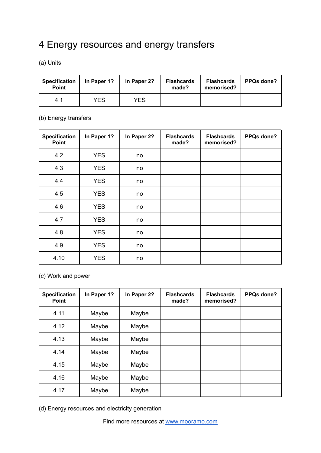## 4 Energy resources and energy transfers

(a) Units

| <b>Specification</b><br><b>Point</b> | In Paper 1? | In Paper 2? | <b>Flashcards</b><br>made? | <b>Flashcards</b><br>memorised? | <b>PPQs done?</b> |
|--------------------------------------|-------------|-------------|----------------------------|---------------------------------|-------------------|
| 4.1                                  | YES         | YES         |                            |                                 |                   |

#### (b) Energy transfers

| <b>Specification</b><br>Point | In Paper 1? | In Paper 2? | <b>Flashcards</b><br>made? | <b>Flashcards</b><br>memorised? | PPQs done? |
|-------------------------------|-------------|-------------|----------------------------|---------------------------------|------------|
| 4.2                           | <b>YES</b>  | no          |                            |                                 |            |
| 4.3                           | <b>YES</b>  | no          |                            |                                 |            |
| 4.4                           | <b>YES</b>  | no          |                            |                                 |            |
| 4.5                           | <b>YES</b>  | no          |                            |                                 |            |
| 4.6                           | <b>YES</b>  | no          |                            |                                 |            |
| 4.7                           | <b>YES</b>  | no          |                            |                                 |            |
| 4.8                           | <b>YES</b>  | no          |                            |                                 |            |
| 4.9                           | <b>YES</b>  | no          |                            |                                 |            |
| 4.10                          | <b>YES</b>  | no          |                            |                                 |            |

(c) Work and power

| <b>Specification</b><br><b>Point</b> | In Paper 1? | In Paper 2? | <b>Flashcards</b><br>made? | <b>Flashcards</b><br>memorised? | PPQs done? |
|--------------------------------------|-------------|-------------|----------------------------|---------------------------------|------------|
| 4.11                                 | Maybe       | Maybe       |                            |                                 |            |
| 4.12                                 | Maybe       | Maybe       |                            |                                 |            |
| 4.13                                 | Maybe       | Maybe       |                            |                                 |            |
| 4.14                                 | Maybe       | Maybe       |                            |                                 |            |
| 4.15                                 | Maybe       | Maybe       |                            |                                 |            |
| 4.16                                 | Maybe       | Maybe       |                            |                                 |            |
| 4.17                                 | Maybe       | Maybe       |                            |                                 |            |

(d) Energy resources and electricity generation

Find more resources at [www.mooramo.com](http://www.mooramo.com)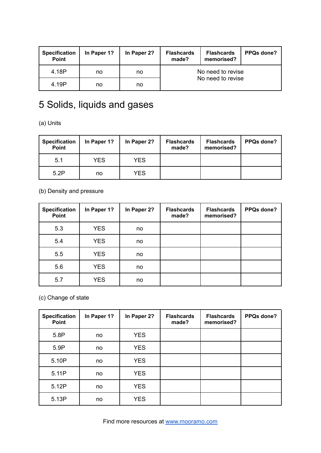| <b>Specification</b><br><b>Point</b> | In Paper 1? | In Paper 2? | <b>Flashcards</b><br>made? | <b>Flashcards</b><br>memorised? | PPQs done? |  |
|--------------------------------------|-------------|-------------|----------------------------|---------------------------------|------------|--|
| 4.18P                                | no          | no          | No need to revise          |                                 |            |  |
| 4.19P                                | no          | no          |                            | No need to revise               |            |  |

# 5 Solids, liquids and gases

(a) Units

| <b>Specification</b><br>Point | In Paper 1? | In Paper 2? | <b>Flashcards</b><br>made? | <b>Flashcards</b><br>memorised? | <b>PPQs done?</b> |
|-------------------------------|-------------|-------------|----------------------------|---------------------------------|-------------------|
| 5.1                           | <b>YES</b>  | YES.        |                            |                                 |                   |
| 5.2P                          | no          | <b>YES</b>  |                            |                                 |                   |

(b) Density and pressure

| <b>Specification</b><br>Point | In Paper 1? | In Paper 2? | <b>Flashcards</b><br>made? | <b>Flashcards</b><br>memorised? | PPQs done? |
|-------------------------------|-------------|-------------|----------------------------|---------------------------------|------------|
| 5.3                           | <b>YES</b>  | no          |                            |                                 |            |
| 5.4                           | <b>YES</b>  | no          |                            |                                 |            |
| 5.5                           | <b>YES</b>  | no          |                            |                                 |            |
| 5.6                           | <b>YES</b>  | no          |                            |                                 |            |
| 5.7                           | <b>YES</b>  | no          |                            |                                 |            |

(c) Change of state

| <b>Specification</b><br>Point | In Paper 1? | In Paper 2? | <b>Flashcards</b><br>made? | <b>Flashcards</b><br>memorised? | PPQs done? |
|-------------------------------|-------------|-------------|----------------------------|---------------------------------|------------|
| 5.8P                          | no          | <b>YES</b>  |                            |                                 |            |
| 5.9P                          | no          | <b>YES</b>  |                            |                                 |            |
| 5.10P                         | no          | <b>YES</b>  |                            |                                 |            |
| 5.11P                         | no          | <b>YES</b>  |                            |                                 |            |
| 5.12P                         | no          | <b>YES</b>  |                            |                                 |            |
| 5.13P                         | no          | <b>YES</b>  |                            |                                 |            |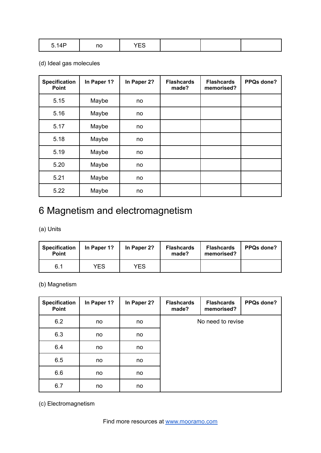| 5.1AD<br>$V \cdot T$ | ካር<br>. | $\sim$ $\sim$<br>--<br>. |  |  |  |
|----------------------|---------|--------------------------|--|--|--|
|----------------------|---------|--------------------------|--|--|--|

#### (d) Ideal gas molecules

| <b>Specification</b><br><b>Point</b> | In Paper 1? | In Paper 2? | <b>Flashcards</b><br>made? | <b>Flashcards</b><br>memorised? | PPQs done? |
|--------------------------------------|-------------|-------------|----------------------------|---------------------------------|------------|
| 5.15                                 | Maybe       | no          |                            |                                 |            |
| 5.16                                 | Maybe       | no          |                            |                                 |            |
| 5.17                                 | Maybe       | no          |                            |                                 |            |
| 5.18                                 | Maybe       | no          |                            |                                 |            |
| 5.19                                 | Maybe       | no          |                            |                                 |            |
| 5.20                                 | Maybe       | no          |                            |                                 |            |
| 5.21                                 | Maybe       | no          |                            |                                 |            |
| 5.22                                 | Maybe       | no          |                            |                                 |            |

### 6 Magnetism and electromagnetism

#### (a) Units

| <b>Specification</b><br><b>Point</b> | In Paper 1? | In Paper 2? | <b>Flashcards</b><br>made? | <b>Flashcards</b><br>memorised? | <b>PPQs done?</b> |
|--------------------------------------|-------------|-------------|----------------------------|---------------------------------|-------------------|
| 6.1                                  | YES         | <b>YES</b>  |                            |                                 |                   |

#### (b) Magnetism

| <b>Specification</b><br>Point | In Paper 1? | In Paper 2? | <b>Flashcards</b><br>made? | <b>Flashcards</b><br>memorised? | PPQs done? |
|-------------------------------|-------------|-------------|----------------------------|---------------------------------|------------|
| 6.2                           | no          | no          |                            | No need to revise               |            |
| 6.3                           | no          | no          |                            |                                 |            |
| 6.4                           | no          | no          |                            |                                 |            |
| 6.5                           | no          | no          |                            |                                 |            |
| 6.6                           | no          | no          |                            |                                 |            |
| 6.7                           | no          | no          |                            |                                 |            |

(c) Electromagnetism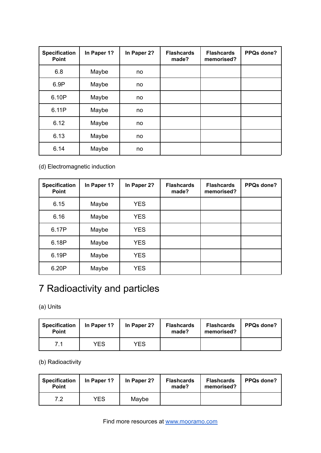| <b>Specification</b><br><b>Point</b> | In Paper 1? | In Paper 2? | <b>Flashcards</b><br>made? | <b>Flashcards</b><br>memorised? | PPQs done? |
|--------------------------------------|-------------|-------------|----------------------------|---------------------------------|------------|
| 6.8                                  | Maybe       | no          |                            |                                 |            |
| 6.9P                                 | Maybe       | no          |                            |                                 |            |
| 6.10P                                | Maybe       | no          |                            |                                 |            |
| 6.11P                                | Maybe       | no          |                            |                                 |            |
| 6.12                                 | Maybe       | no          |                            |                                 |            |
| 6.13                                 | Maybe       | no          |                            |                                 |            |
| 6.14                                 | Maybe       | no          |                            |                                 |            |

#### (d) Electromagnetic induction

| <b>Specification</b><br><b>Point</b> | In Paper 1? | In Paper 2? | <b>Flashcards</b><br>made? | <b>Flashcards</b><br>memorised? | PPQs done? |
|--------------------------------------|-------------|-------------|----------------------------|---------------------------------|------------|
| 6.15                                 | Maybe       | <b>YES</b>  |                            |                                 |            |
| 6.16                                 | Maybe       | <b>YES</b>  |                            |                                 |            |
| 6.17P                                | Maybe       | <b>YES</b>  |                            |                                 |            |
| 6.18P                                | Maybe       | <b>YES</b>  |                            |                                 |            |
| 6.19P                                | Maybe       | <b>YES</b>  |                            |                                 |            |
| 6.20P                                | Maybe       | <b>YES</b>  |                            |                                 |            |

## 7 Radioactivity and particles

(a) Units

| <b>Specification</b><br><b>Point</b> | In Paper 1? | In Paper 2? | <b>Flashcards</b><br>made? | <b>Flashcards</b><br>memorised? | <b>PPQs done?</b> |
|--------------------------------------|-------------|-------------|----------------------------|---------------------------------|-------------------|
| 7.1                                  | YES         | YES         |                            |                                 |                   |

(b) Radioactivity

| <b>Specification</b><br><b>Point</b> | In Paper 1? | In Paper 2? | <b>Flashcards</b><br>made? | <b>Flashcards</b><br>memorised? | <b>PPQs done?</b> |
|--------------------------------------|-------------|-------------|----------------------------|---------------------------------|-------------------|
| 7.2                                  | YES         | Maybe       |                            |                                 |                   |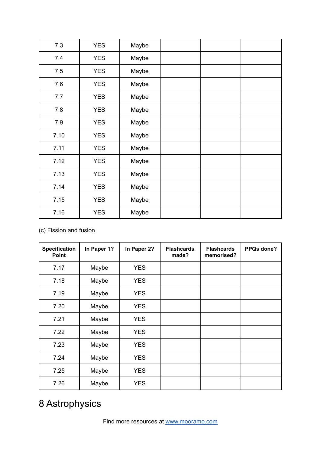| 7.3  | <b>YES</b> | Maybe |  |  |
|------|------------|-------|--|--|
| 7.4  | <b>YES</b> | Maybe |  |  |
| 7.5  | <b>YES</b> | Maybe |  |  |
| 7.6  | <b>YES</b> | Maybe |  |  |
| 7.7  | <b>YES</b> | Maybe |  |  |
| 7.8  | <b>YES</b> | Maybe |  |  |
| 7.9  | <b>YES</b> | Maybe |  |  |
| 7.10 | <b>YES</b> | Maybe |  |  |
| 7.11 | <b>YES</b> | Maybe |  |  |
| 7.12 | <b>YES</b> | Maybe |  |  |
| 7.13 | <b>YES</b> | Maybe |  |  |
| 7.14 | <b>YES</b> | Maybe |  |  |
| 7.15 | <b>YES</b> | Maybe |  |  |
| 7.16 | <b>YES</b> | Maybe |  |  |

(c) Fission and fusion

| <b>Specification</b><br><b>Point</b> | In Paper 1? | In Paper 2? | <b>Flashcards</b><br>made? | <b>Flashcards</b><br>memorised? | PPQs done? |
|--------------------------------------|-------------|-------------|----------------------------|---------------------------------|------------|
| 7.17                                 | Maybe       | <b>YES</b>  |                            |                                 |            |
| 7.18                                 | Maybe       | <b>YES</b>  |                            |                                 |            |
| 7.19                                 | Maybe       | <b>YES</b>  |                            |                                 |            |
| 7.20                                 | Maybe       | <b>YES</b>  |                            |                                 |            |
| 7.21                                 | Maybe       | <b>YES</b>  |                            |                                 |            |
| 7.22                                 | Maybe       | <b>YES</b>  |                            |                                 |            |
| 7.23                                 | Maybe       | <b>YES</b>  |                            |                                 |            |
| 7.24                                 | Maybe       | <b>YES</b>  |                            |                                 |            |
| 7.25                                 | Maybe       | <b>YES</b>  |                            |                                 |            |
| 7.26                                 | Maybe       | <b>YES</b>  |                            |                                 |            |

## 8 Astrophysics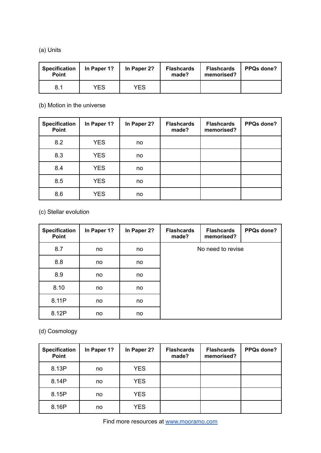#### (a) Units

| <b>Specification</b><br><b>Point</b> | In Paper 1? | In Paper 2? | <b>Flashcards</b><br>made? | <b>Flashcards</b><br>memorised? | <b>PPQs done?</b> |
|--------------------------------------|-------------|-------------|----------------------------|---------------------------------|-------------------|
| 8.1                                  | YES         | YES         |                            |                                 |                   |

(b) Motion in the universe

| <b>Specification</b><br>Point | In Paper 1? | In Paper 2? | <b>Flashcards</b><br>made? | <b>Flashcards</b><br>memorised? | PPQs done? |
|-------------------------------|-------------|-------------|----------------------------|---------------------------------|------------|
| 8.2                           | <b>YES</b>  | no          |                            |                                 |            |
| 8.3                           | <b>YES</b>  | no          |                            |                                 |            |
| 8.4                           | <b>YES</b>  | no          |                            |                                 |            |
| 8.5                           | <b>YES</b>  | no          |                            |                                 |            |
| 8.6                           | <b>YES</b>  | no          |                            |                                 |            |

(c) Stellar evolution

| <b>Specification</b><br>Point | In Paper 1? | In Paper 2? | <b>Flashcards</b><br>made? | <b>Flashcards</b><br>memorised? | PPQs done? |
|-------------------------------|-------------|-------------|----------------------------|---------------------------------|------------|
| 8.7                           | no          | no          | No need to revise          |                                 |            |
| 8.8                           | no          | no          |                            |                                 |            |
| 8.9                           | no          | no          |                            |                                 |            |
| 8.10                          | no          | no          |                            |                                 |            |
| 8.11P                         | no          | no          |                            |                                 |            |
| 8.12P                         | no          | no          |                            |                                 |            |

(d) Cosmology

| <b>Specification</b><br>Point | In Paper 1? | In Paper 2? | <b>Flashcards</b><br>made? | <b>Flashcards</b><br>memorised? | PPQs done? |
|-------------------------------|-------------|-------------|----------------------------|---------------------------------|------------|
| 8.13P                         | no          | <b>YES</b>  |                            |                                 |            |
| 8.14P                         | no          | <b>YES</b>  |                            |                                 |            |
| 8.15P                         | no          | <b>YES</b>  |                            |                                 |            |
| 8.16P                         | no          | <b>YES</b>  |                            |                                 |            |